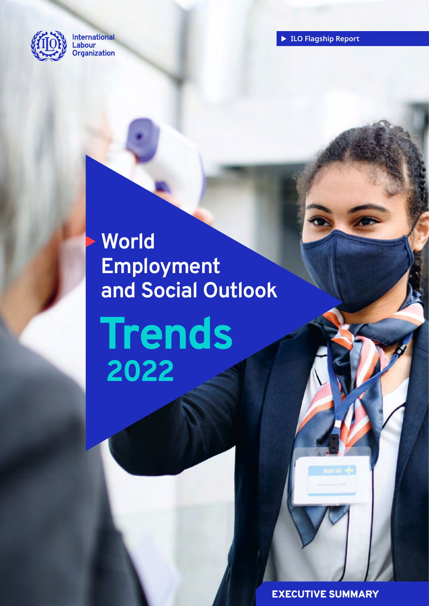International<br>Labour<br>Organization

**ILO Flagship Report**

# **World Employment and Social Outlook**

# **Trends 2022**

EXECUTIVE SUMMARY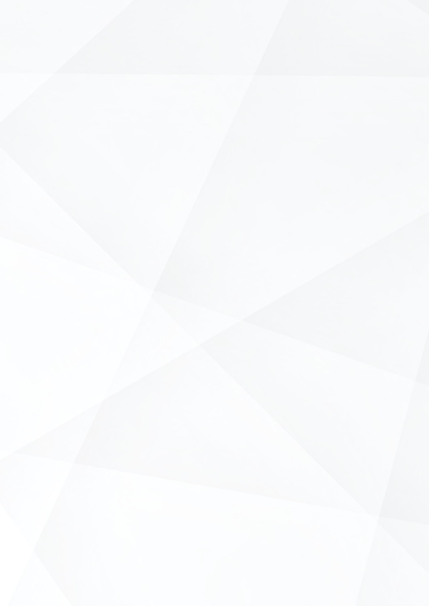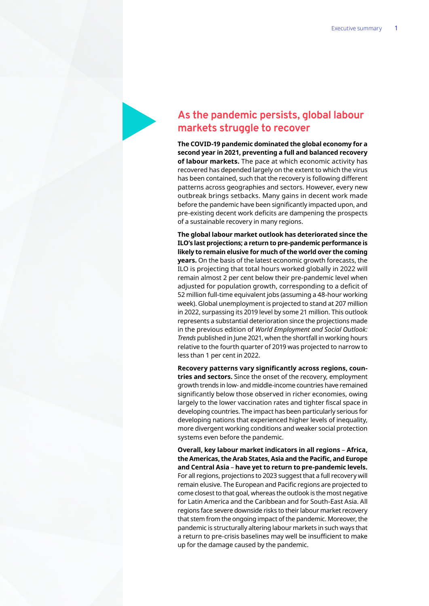### **As the pandemic persists, global labour markets struggle to recover**

**The COVID-19 pandemic dominated the global economy for a second year in 2021, preventing a full and balanced recovery of labour markets.** The pace at which economic activity has recovered has depended largely on the extent to which the virus has been contained, such that the recovery is following different patterns across geographies and sectors. However, every new outbreak brings setbacks. Many gains in decent work made before the pandemic have been significantly impacted upon, and pre-existing decent work deficits are dampening the prospects of a sustainable recovery in many regions.

**The global labour market outlook has deteriorated since the ILO's last projections; a return to pre-pandemic performance is likely to remain elusive for much of the world over the coming years.** On the basis of the latest economic growth forecasts, the ILO is projecting that total hours worked globally in 2022 will remain almost 2 per cent below their pre-pandemic level when adjusted for population growth, corresponding to a deficit of 52 million full-time equivalent jobs (assuming a 48-hour working week). Global unemployment is projected to stand at 207 million in 2022, surpassing its 2019 level by some 21 million. This outlook represents a substantial deterioration since the projections made in the previous edition of *World Employment and Social Outlook: Trends* published in June 2021, when the shortfall in working hours relative to the fourth quarter of 2019 was projected to narrow to less than 1 per cent in 2022.

**Recovery patterns vary significantly across regions, countries and sectors.** Since the onset of the recovery, employment growth trends in low- and middle-income countries have remained significantly below those observed in richer economies, owing largely to the lower vaccination rates and tighter fiscal space in developing countries. The impact has been particularly serious for developing nations that experienced higher levels of inequality, more divergent working conditions and weaker social protection systems even before the pandemic.

**Overall, key labour market indicators in all regions** – **Africa, the Americas, the Arab States, Asia and the Pacific, and Europe and Central Asia** – **have yet to return to pre-pandemic levels.**  For all regions, projections to 2023 suggest that a full recovery will remain elusive. The European and Pacific regions are projected to come closest to that goal, whereas the outlook is the most negative for Latin America and the Caribbean and for South-East Asia. All regions face severe downside risks to their labour market recovery that stem from the ongoing impact of the pandemic. Moreover, the pandemic is structurally altering labour markets in such ways that a return to pre-crisis baselines may well be insufficient to make up for the damage caused by the pandemic.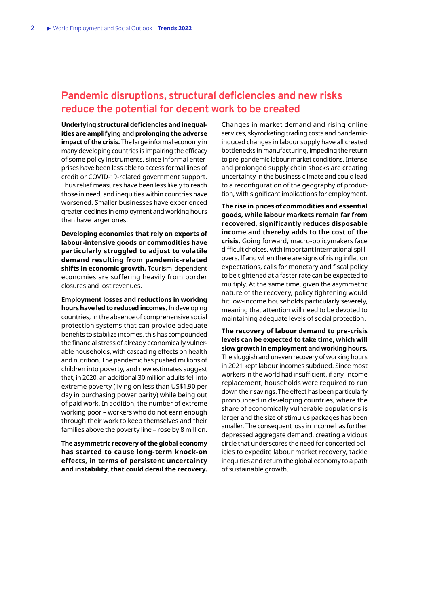#### **Pandemic disruptions, structural deficiencies and new risks reduce the potential for decent work to be created**

**Underlying structural deficiencies and inequalities are amplifying and prolonging the adverse impact of the crisis.** The large informal economy in many developing countries is impairing the efficacy of some policy instruments, since informal enterprises have been less able to access formal lines of credit or COVID-19-related government support. Thus relief measures have been less likely to reach those in need, and inequities within countries have worsened. Smaller businesses have experienced greater declines in employment and working hours than have larger ones.

**Developing economies that rely on exports of labour-intensive goods or commodities have particularly struggled to adjust to volatile demand resulting from pandemic-related shifts in economic growth.** Tourism-dependent economies are suffering heavily from border closures and lost revenues.

**Employment losses and reductions in working hours have led to reduced incomes.** In developing countries, in the absence of comprehensive social protection systems that can provide adequate benefits to stabilize incomes, this has compounded the financial stress of already economically vulnerable households, with cascading effects on health and nutrition. The pandemic has pushed millions of children into poverty, and new estimates suggest that, in 2020, an additional 30 million adults fell into extreme poverty (living on less than US\$1.90 per day in purchasing power parity) while being out of paid work. In addition, the number of extreme working poor – workers who do not earn enough through their work to keep themselves and their families above the poverty line – rose by 8 million.

**The asymmetric recovery of the global economy has started to cause long-term knock-on effects, in terms of persistent uncertainty and instability, that could derail the recovery.** Changes in market demand and rising online services, skyrocketing trading costs and pandemicinduced changes in labour supply have all created bottlenecks in manufacturing, impeding the return to pre-pandemic labour market conditions. Intense and prolonged supply chain shocks are creating uncertainty in the business climate and could lead to a reconfiguration of the geography of production, with significant implications for employment.

**The rise in prices of commodities and essential goods, while labour markets remain far from recovered, significantly reduces disposable income and thereby adds to the cost of the crisis.** Going forward, macro-policymakers face difficult choices, with important international spillovers. If and when there are signs of rising inflation expectations, calls for monetary and fiscal policy to be tightened at a faster rate can be expected to multiply. At the same time, given the asymmetric nature of the recovery, policy tightening would hit low-income households particularly severely, meaning that attention will need to be devoted to maintaining adequate levels of social protection.

**The recovery of labour demand to pre-crisis levels can be expected to take time, which will slow growth in employment and working hours.** The sluggish and uneven recovery of working hours in 2021 kept labour incomes subdued. Since most workers in the world had insufficient, if any, income replacement, households were required to run down their savings. The effect has been particularly pronounced in developing countries, where the share of economically vulnerable populations is larger and the size of stimulus packages has been smaller. The consequent loss in income has further depressed aggregate demand, creating a vicious circle that underscores the need for concerted policies to expedite labour market recovery, tackle inequities and return the global economy to a path of sustainable growth.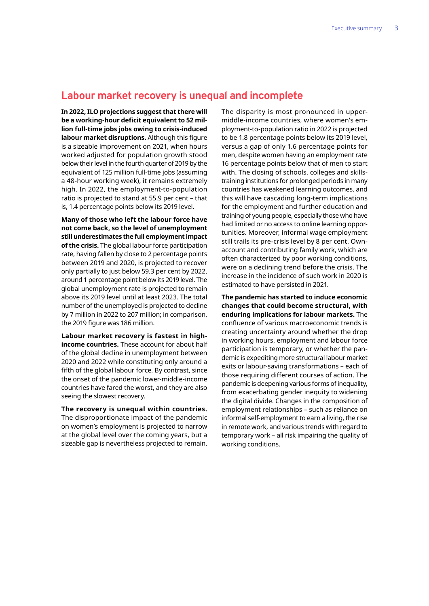#### **Labour market recovery is unequal and incomplete**

**In 2022, ILO projections suggest that there will be a working-hour deficit equivalent to 52 million full-time jobs jobs owing to crisis-induced labour market disruptions.** Although this figure is a sizeable improvement on 2021, when hours worked adjusted for population growth stood below their level in the fourth quarter of 2019 by the equivalent of 125 million full-time jobs (assuming a 48-hour working week), it remains extremely high. In 2022, the employment-to-population ratio is projected to stand at 55.9 per cent – that is, 1.4 percentage points below its 2019 level.

**Many of those who left the labour force have not come back, so the level of unemployment still underestimates the full employment impact of the crisis.** The global labour force participation rate, having fallen by close to 2 percentage points between 2019 and 2020, is projected to recover only partially to just below 59.3 per cent by 2022, around 1 percentage point below its 2019 level. The global unemployment rate is projected to remain above its 2019 level until at least 2023. The total number of the unemployed is projected to decline by 7 million in 2022 to 207 million; in comparison, the 2019 figure was 186 million.

**Labour market recovery is fastest in highincome countries.** These account for about half of the global decline in unemployment between 2020 and 2022 while constituting only around a fifth of the global labour force. By contrast, since the onset of the pandemic lower-middle-income countries have fared the worst, and they are also seeing the slowest recovery.

**The recovery is unequal within countries.** The disproportionate impact of the pandemic on women's employment is projected to narrow at the global level over the coming years, but a sizeable gap is nevertheless projected to remain. The disparity is most pronounced in uppermiddle-income countries, where women's employment-to-population ratio in 2022 is projected to be 1.8 percentage points below its 2019 level, versus a gap of only 1.6 percentage points for men, despite women having an employment rate 16 percentage points below that of men to start with. The closing of schools, colleges and skillstraining institutions for prolonged periods in many countries has weakened learning outcomes, and this will have cascading long-term implications for the employment and further education and training of young people, especially those who have had limited or no access to online learning opportunities. Moreover, informal wage employment still trails its pre-crisis level by 8 per cent. Ownaccount and contributing family work, which are often characterized by poor working conditions, were on a declining trend before the crisis. The increase in the incidence of such work in 2020 is estimated to have persisted in 2021.

**The pandemic has started to induce economic changes that could become structural, with enduring implications for labour markets.** The confluence of various macroeconomic trends is creating uncertainty around whether the drop in working hours, employment and labour force participation is temporary, or whether the pandemic is expediting more structural labour market exits or labour-saving transformations – each of those requiring different courses of action. The pandemic is deepening various forms of inequality, from exacerbating gender inequity to widening the digital divide. Changes in the composition of employment relationships – such as reliance on informal self-employment to earn a living, the rise in remote work, and various trends with regard to temporary work – all risk impairing the quality of working conditions.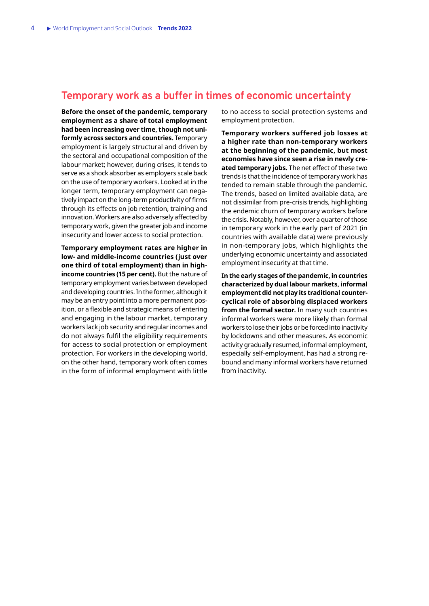#### **Temporary work as a buffer in times of economic uncertainty**

**Before the onset of the pandemic, temporary employment as a share of total employment had been increasing over time, though not uniformly across sectors and countries.** Temporary employment is largely structural and driven by the sectoral and occupational composition of the labour market; however, during crises, it tends to serve as a shock absorber as employers scale back on the use of temporary workers. Looked at in the longer term, temporary employment can negatively impact on the long-term productivity of firms through its effects on job retention, training and innovation. Workers are also adversely affected by temporary work, given the greater job and income insecurity and lower access to social protection.

**Temporary employment rates are higher in low- and middle-income countries (just over one third of total employment) than in highincome countries (15 per cent).** But the nature of temporary employment varies between developed and developing countries. In the former, although it may be an entry point into a more permanent position, or a flexible and strategic means of entering and engaging in the labour market, temporary workers lack job security and regular incomes and do not always fulfil the eligibility requirements for access to social protection or employment protection. For workers in the developing world, on the other hand, temporary work often comes in the form of informal employment with little

to no access to social protection systems and employment protection.

**Temporary workers suffered job losses at a higher rate than non-temporary workers at the beginning of the pandemic, but most economies have since seen a rise in newly created temporary jobs.** The net effect of these two trends is that the incidence of temporary work has tended to remain stable through the pandemic. The trends, based on limited available data, are not dissimilar from pre-crisis trends, highlighting the endemic churn of temporary workers before the crisis. Notably, however, over a quarter of those in temporary work in the early part of 2021 (in countries with available data) were previously in non-temporary jobs, which highlights the underlying economic uncertainty and associated employment insecurity at that time.

**In the early stages of the pandemic, in countries characterized by dual labour markets, informal employment did not play its traditional countercyclical role of absorbing displaced workers from the formal sector.** In many such countries informal workers were more likely than formal workers to lose their jobs or be forced into inactivity by lockdowns and other measures. As economic activity gradually resumed, informal employment, especially self-employment, has had a strong rebound and many informal workers have returned from inactivity.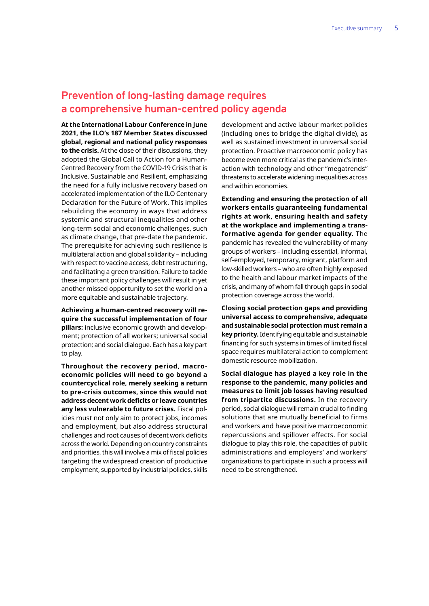## **Prevention of long-lasting damage requires a comprehensive human-centred policy agenda**

**At the International Labour Conference in June 2021, the ILO's 187 Member States discussed global, regional and national policy responses to the crisis.** At the close of their discussions, they adopted the Global Call to Action for a Human-Centred Recovery from the COVID-19 Crisis that is Inclusive, Sustainable and Resilient, emphasizing the need for a fully inclusive recovery based on accelerated implementation of the ILO Centenary Declaration for the Future of Work. This implies rebuilding the economy in ways that address systemic and structural inequalities and other long-term social and economic challenges, such as climate change, that pre-date the pandemic. The prerequisite for achieving such resilience is multilateral action and global solidarity – including with respect to vaccine access, debt restructuring, and facilitating a green transition. Failure to tackle these important policy challenges will result in yet another missed opportunity to set the world on a more equitable and sustainable trajectory.

**Achieving a human-centred recovery will require the successful implementation of four pillars:** inclusive economic growth and development; protection of all workers; universal social protection; and social dialogue. Each has a key part to play.

**Throughout the recovery period, macroeconomic policies will need to go beyond a countercyclical role, merely seeking a return to pre-crisis outcomes, since this would not address decent work deficits or leave countries any less vulnerable to future crises.** Fiscal policies must not only aim to protect jobs, incomes and employment, but also address structural challenges and root causes of decent work deficits across the world. Depending on country constraints and priorities, this will involve a mix of fiscal policies targeting the widespread creation of productive employment, supported by industrial policies, skills development and active labour market policies (including ones to bridge the digital divide), as well as sustained investment in universal social protection. Proactive macroeconomic policy has become even more critical as the pandemic's interaction with technology and other "megatrends" threatens to accelerate widening inequalities across and within economies.

**Extending and ensuring the protection of all workers entails guaranteeing fundamental rights at work, ensuring health and safety at the workplace and implementing a transformative agenda for gender equality.** The pandemic has revealed the vulnerability of many groups of workers – including essential, informal, self-employed, temporary, migrant, platform and low-skilled workers – who are often highly exposed to the health and labour market impacts of the crisis, and many of whom fall through gaps in social protection coverage across the world.

**Closing social protection gaps and providing universal access to comprehensive, adequate and sustainable social protection must remain a key priority.** Identifying equitable and sustainable financing for such systems in times of limited fiscal space requires multilateral action to complement domestic resource mobilization.

**Social dialogue has played a key role in the response to the pandemic, many policies and measures to limit job losses having resulted from tripartite discussions.** In the recovery period, social dialogue will remain crucial to finding solutions that are mutually beneficial to firms and workers and have positive macroeconomic repercussions and spillover effects. For social dialogue to play this role, the capacities of public administrations and employers' and workers' organizations to participate in such a process will need to be strengthened.